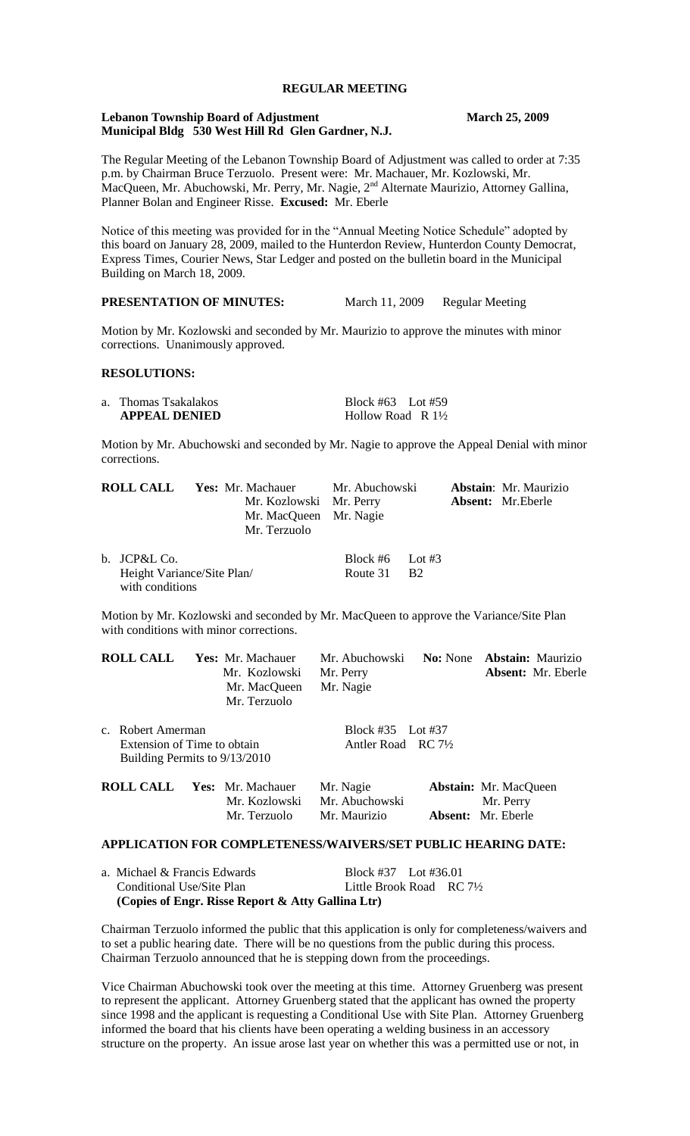# **REGULAR MEETING**

### **Lebanon Township Board of Adjustment March 25, 2009 Municipal Bldg 530 West Hill Rd Glen Gardner, N.J.**

The Regular Meeting of the Lebanon Township Board of Adjustment was called to order at 7:35 p.m. by Chairman Bruce Terzuolo. Present were: Mr. Machauer, Mr. Kozlowski, Mr. MacQueen, Mr. Abuchowski, Mr. Perry, Mr. Nagie, 2<sup>nd</sup> Alternate Maurizio, Attorney Gallina, Planner Bolan and Engineer Risse. **Excused:** Mr. Eberle

Notice of this meeting was provided for in the "Annual Meeting Notice Schedule" adopted by this board on January 28, 2009, mailed to the Hunterdon Review, Hunterdon County Democrat, Express Times, Courier News, Star Ledger and posted on the bulletin board in the Municipal Building on March 18, 2009.

# **PRESENTATION OF MINUTES:** March 11, 2009 Regular Meeting

Motion by Mr. Kozlowski and seconded by Mr. Maurizio to approve the minutes with minor corrections. Unanimously approved.

## **RESOLUTIONS:**

| a. Thomas Tsakalakos | Block #63 Lot #59            |
|----------------------|------------------------------|
| <b>APPEAL DENIED</b> | Hollow Road R $1\frac{1}{2}$ |

Motion by Mr. Abuchowski and seconded by Mr. Nagie to approve the Appeal Denial with minor corrections.

|                                               | <b>ROLL CALL</b> Yes: Mr. Machauer Mr. Abuchowski |                        |  | <b>Abstain:</b> Mr. Maurizio |
|-----------------------------------------------|---------------------------------------------------|------------------------|--|------------------------------|
|                                               | Mr. Kozlowski Mr. Perry                           |                        |  | <b>Absent:</b> Mr. Eberle    |
|                                               | Mr. MacQueen Mr. Nagie                            |                        |  |                              |
|                                               | Mr. Terzuolo                                      |                        |  |                              |
| b. JCP&L Co.                                  |                                                   | Block #6 Lot #3        |  |                              |
| Height Variance/Site Plan/<br>with conditions |                                                   | Route $31 \text{ } B2$ |  |                              |

Motion by Mr. Kozlowski and seconded by Mr. MacQueen to approve the Variance/Site Plan with conditions with minor corrections.

| <b>ROLL CALL</b>                                                                  |  | Yes: Mr. Machauer<br>Mr. Kozlowski<br>Mr. MacQueen<br>Mr. Terzuolo | Mr. Abuchowski<br>Mr. Perry<br>Mr. Nagie           |  | <b>No:</b> None <b>Abstain:</b> Maurizio<br><b>Absent:</b> Mr. Eberle  |
|-----------------------------------------------------------------------------------|--|--------------------------------------------------------------------|----------------------------------------------------|--|------------------------------------------------------------------------|
| c. Robert Amerman<br>Extension of Time to obtain<br>Building Permits to 9/13/2010 |  |                                                                    | Block #35 Lot #37<br>Antler Road RC $7\frac{1}{2}$ |  |                                                                        |
| <b>ROLL CALL</b>                                                                  |  | Yes: Mr. Machauer<br>Mr. Kozlowski<br>Mr. Terzuolo                 | Mr. Nagie<br>Mr. Abuchowski<br>Mr. Maurizio        |  | <b>Abstain:</b> Mr. MacQueen<br>Mr. Perry<br><b>Absent:</b> Mr. Eberle |

### **APPLICATION FOR COMPLETENESS/WAIVERS/SET PUBLIC HEARING DATE:**

| (Copies of Engr. Risse Report & Atty Gallina Ltr) |                                     |  |
|---------------------------------------------------|-------------------------------------|--|
| Conditional Use/Site Plan                         | Little Brook Road RC $7\frac{1}{2}$ |  |
| a. Michael & Francis Edwards                      | Block #37 Lot #36.01                |  |

Chairman Terzuolo informed the public that this application is only for completeness/waivers and to set a public hearing date. There will be no questions from the public during this process. Chairman Terzuolo announced that he is stepping down from the proceedings.

Vice Chairman Abuchowski took over the meeting at this time. Attorney Gruenberg was present to represent the applicant. Attorney Gruenberg stated that the applicant has owned the property since 1998 and the applicant is requesting a Conditional Use with Site Plan. Attorney Gruenberg informed the board that his clients have been operating a welding business in an accessory structure on the property. An issue arose last year on whether this was a permitted use or not, in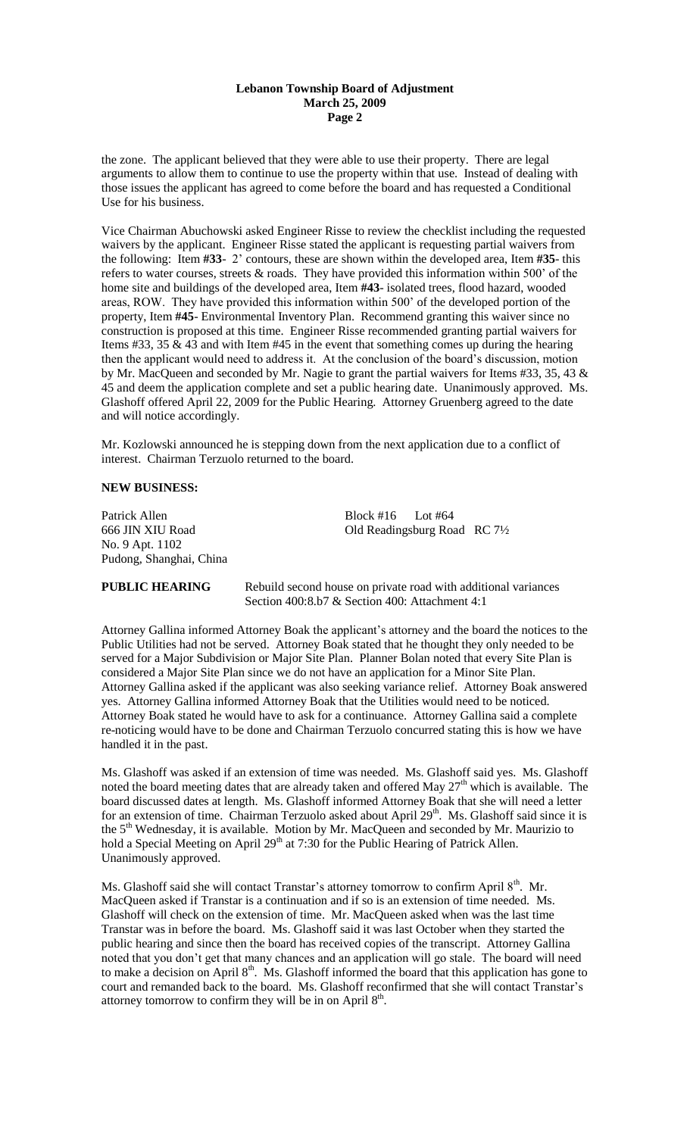# **Lebanon Township Board of Adjustment March 25, 2009 Page 2**

the zone. The applicant believed that they were able to use their property. There are legal arguments to allow them to continue to use the property within that use. Instead of dealing with those issues the applicant has agreed to come before the board and has requested a Conditional Use for his business.

Vice Chairman Abuchowski asked Engineer Risse to review the checklist including the requested waivers by the applicant. Engineer Risse stated the applicant is requesting partial waivers from the following: Item **#33**- 2' contours, these are shown within the developed area, Item **#35**- this refers to water courses, streets & roads. They have provided this information within 500' of the home site and buildings of the developed area, Item **#43**- isolated trees, flood hazard, wooded areas, ROW. They have provided this information within 500' of the developed portion of the property, Item **#45**- Environmental Inventory Plan. Recommend granting this waiver since no construction is proposed at this time. Engineer Risse recommended granting partial waivers for Items  $\#33$ ,  $35 \& 43$  and with Item  $\#45$  in the event that something comes up during the hearing then the applicant would need to address it. At the conclusion of the board's discussion, motion by Mr. MacQueen and seconded by Mr. Nagie to grant the partial waivers for Items #33, 35, 43 & 45 and deem the application complete and set a public hearing date. Unanimously approved. Ms. Glashoff offered April 22, 2009 for the Public Hearing. Attorney Gruenberg agreed to the date and will notice accordingly.

Mr. Kozlowski announced he is stepping down from the next application due to a conflict of interest. Chairman Terzuolo returned to the board.

### **NEW BUSINESS:**

Patrick Allen Block #16 Lot #64 No. 9 Apt. 1102 Pudong, Shanghai, China

666 JIN XIU Road Old Readingsburg Road RC 7½

**PUBLIC HEARING** Rebuild second house on private road with additional variances Section 400:8.b7 & Section 400: Attachment 4:1

Attorney Gallina informed Attorney Boak the applicant's attorney and the board the notices to the Public Utilities had not be served. Attorney Boak stated that he thought they only needed to be served for a Major Subdivision or Major Site Plan. Planner Bolan noted that every Site Plan is considered a Major Site Plan since we do not have an application for a Minor Site Plan. Attorney Gallina asked if the applicant was also seeking variance relief. Attorney Boak answered yes. Attorney Gallina informed Attorney Boak that the Utilities would need to be noticed. Attorney Boak stated he would have to ask for a continuance. Attorney Gallina said a complete re-noticing would have to be done and Chairman Terzuolo concurred stating this is how we have handled it in the past.

Ms. Glashoff was asked if an extension of time was needed. Ms. Glashoff said yes. Ms. Glashoff noted the board meeting dates that are already taken and offered May  $27<sup>th</sup>$  which is available. The board discussed dates at length. Ms. Glashoff informed Attorney Boak that she will need a letter for an extension of time. Chairman Terzuolo asked about April 29<sup>th</sup>. Ms. Glashoff said since it is the 5<sup>th</sup> Wednesday, it is available. Motion by Mr. MacQueen and seconded by Mr. Maurizio to hold a Special Meeting on April  $29<sup>th</sup>$  at 7:30 for the Public Hearing of Patrick Allen. Unanimously approved.

Ms. Glashoff said she will contact Transtar's attorney tomorrow to confirm April 8<sup>th</sup>. Mr. MacQueen asked if Transtar is a continuation and if so is an extension of time needed. Ms. Glashoff will check on the extension of time. Mr. MacQueen asked when was the last time Transtar was in before the board. Ms. Glashoff said it was last October when they started the public hearing and since then the board has received copies of the transcript. Attorney Gallina noted that you don't get that many chances and an application will go stale. The board will need to make a decision on April  $8<sup>th</sup>$ . Ms. Glashoff informed the board that this application has gone to court and remanded back to the board. Ms. Glashoff reconfirmed that she will contact Transtar's attorney tomorrow to confirm they will be in on April  $8<sup>th</sup>$ .